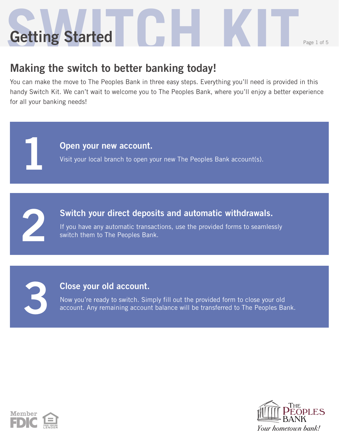# **Setting Started Communications Getting Started**

### **Making the switch to better banking today!**

You can make the move to The Peoples Bank in three easy steps. Everything you'll need is provided in this handy Switch Kit. We can't wait to welcome you to The Peoples Bank, where you'll enjoy a better experience for all your banking needs!

**Open your new account.**

Visit your local branch to open your new The Peoples Bank account(s).

**2**

**1**

#### **Switch your direct deposits and automatic withdrawals.**

If you have any automatic transactions, use the provided forms to seamlessly switch them to The Peoples Bank.

**3**

#### **Close your old account.**

Now you're ready to switch. Simply fill out the provided form to close your old account. Any remaining account balance will be transferred to The Peoples Bank.



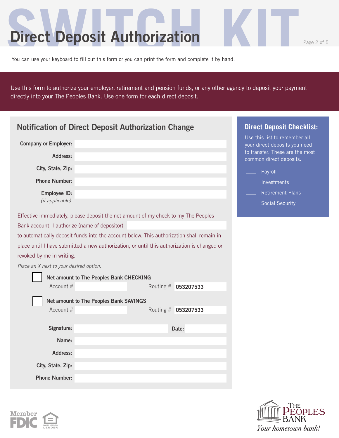### **Direct Deposit Authorization**

**Member** 

Use this form to authorize your employer, retirement and pension funds, or any other agency to deposit your payment directly into your The Peoples Bank. Use one form for each direct deposit.

| <b>Notification of Direct Deposit Authorization Change</b>                                | <b>Direct Deposit Checklist:</b>                                                            |                     |                                                                                                   |
|-------------------------------------------------------------------------------------------|---------------------------------------------------------------------------------------------|---------------------|---------------------------------------------------------------------------------------------------|
| <b>Company or Employer:</b>                                                               |                                                                                             |                     | Use this list to remember all<br>your direct deposits you need<br>to transfer. These are the most |
| Address:                                                                                  |                                                                                             |                     | common direct deposits.                                                                           |
| City, State, Zip:                                                                         |                                                                                             |                     | Payroll                                                                                           |
| <b>Phone Number:</b>                                                                      |                                                                                             |                     | Investments                                                                                       |
| <b>Employee ID:</b>                                                                       |                                                                                             |                     | <b>Retirement Plans</b>                                                                           |
| (if applicable)                                                                           |                                                                                             |                     | <b>Social Security</b>                                                                            |
| Effective immediately, please deposit the net amount of my check to my The Peoples        |                                                                                             |                     |                                                                                                   |
| Bank account. I authorize (name of depositor)                                             |                                                                                             |                     |                                                                                                   |
| to automatically deposit funds into the account below. This authorization shall remain in |                                                                                             |                     |                                                                                                   |
|                                                                                           | place until I have submitted a new authorization, or until this authorization is changed or |                     |                                                                                                   |
| revoked by me in writing.                                                                 |                                                                                             |                     |                                                                                                   |
| Place an X next to your desired option.                                                   |                                                                                             |                     |                                                                                                   |
|                                                                                           | Net amount to The Peoples Bank CHECKING                                                     |                     |                                                                                                   |
| Account #                                                                                 |                                                                                             | Routing # 053207533 |                                                                                                   |
|                                                                                           | Net amount to The Peoples Bank SAVINGS                                                      |                     |                                                                                                   |
| Account #                                                                                 |                                                                                             | Routing # 053207533 |                                                                                                   |
|                                                                                           |                                                                                             |                     |                                                                                                   |
| Signature:                                                                                |                                                                                             | Date:               |                                                                                                   |
| Name:                                                                                     |                                                                                             |                     |                                                                                                   |
| <b>Address:</b>                                                                           |                                                                                             |                     |                                                                                                   |
| City, State, Zip:                                                                         |                                                                                             |                     |                                                                                                   |
| <b>Phone Number:</b>                                                                      |                                                                                             |                     |                                                                                                   |

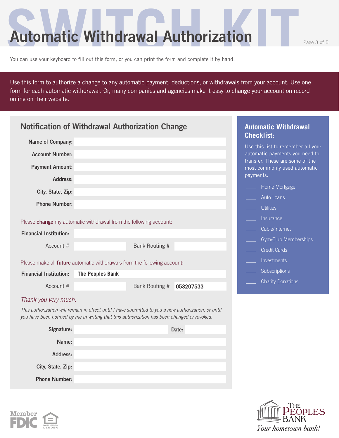**Automatic Withdrawal Authorization** 

You can use your keyboard to fill out this form, or you can print the form and complete it by hand.

Use this form to authorize a change to any automatic payment, deductions, or withdrawals from your account. Use one form for each automatic withdrawal. Or, many companies and agencies make it easy to change your account on record online on their website.

|                               | <b>Notification of Withdrawal Authorization Change</b>                                                                                                                                               | <b>Automatic Withdrawal</b><br><b>Checklist:</b>                     |
|-------------------------------|------------------------------------------------------------------------------------------------------------------------------------------------------------------------------------------------------|----------------------------------------------------------------------|
| Name of Company:              |                                                                                                                                                                                                      |                                                                      |
| <b>Account Number:</b>        |                                                                                                                                                                                                      | Use this list to remember all your<br>automatic payments you need to |
| <b>Payment Amount:</b>        |                                                                                                                                                                                                      | transfer. These are some of the                                      |
|                               |                                                                                                                                                                                                      | most commonly used automatic<br>payments.                            |
| Address:                      |                                                                                                                                                                                                      | Home Mortgage                                                        |
| City, State, Zip:             |                                                                                                                                                                                                      | Auto Loans                                                           |
| <b>Phone Number:</b>          |                                                                                                                                                                                                      | <b>Utilities</b>                                                     |
|                               | Please <b>change</b> my automatic withdrawal from the following account:                                                                                                                             | <i>Insurance</i>                                                     |
| <b>Financial Institution:</b> |                                                                                                                                                                                                      | Cable/Internet                                                       |
| Account #                     | Bank Routing #                                                                                                                                                                                       | Gym/Club Memberships                                                 |
|                               |                                                                                                                                                                                                      | <b>Credit Cards</b>                                                  |
|                               | Please make all future automatic withdrawals from the following account:                                                                                                                             | Investments                                                          |
| <b>Financial Institution:</b> | <b>The Peoples Bank</b>                                                                                                                                                                              | Subscriptions                                                        |
| Account #                     | Bank Routing #<br>053207533                                                                                                                                                                          | <b>Charity Donations</b>                                             |
| Thank you very much.          |                                                                                                                                                                                                      |                                                                      |
|                               | This authorization will remain in effect until I have submitted to you a new authorization, or until<br>you have been notified by me in writing that this authorization has been changed or revoked. |                                                                      |
| Signature:                    | Date:                                                                                                                                                                                                |                                                                      |
| Name:                         |                                                                                                                                                                                                      |                                                                      |
| <b>Address:</b>               |                                                                                                                                                                                                      |                                                                      |
| City, State, Zip:             |                                                                                                                                                                                                      |                                                                      |
| <b>Phone Number:</b>          |                                                                                                                                                                                                      |                                                                      |



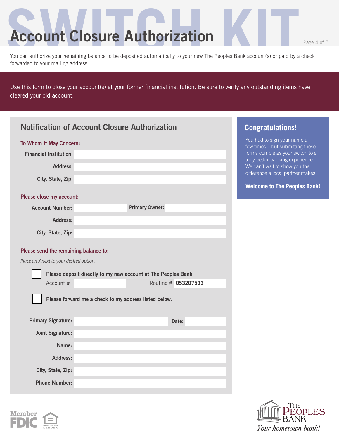## **Account Closure Authorization**

Гне

Your hometown bank!

**OPLES** 

You can authorize your remaining balance to be deposited automatically to your new The Peoples Bank account(s) or paid by a check forwarded to your mailing address.

Use this form to close your account(s) at your former financial institution. Be sure to verify any outstanding items have cleared your old account.

| <b>Notification of Account Closure Authorization</b> |                                                                |                       | <b>Congratulations!</b> |                                                                      |
|------------------------------------------------------|----------------------------------------------------------------|-----------------------|-------------------------|----------------------------------------------------------------------|
| To Whom It May Concern:                              |                                                                |                       |                         | You had to sign your name a<br>few timesbut submitting these         |
| <b>Financial Institution:</b>                        |                                                                |                       |                         | forms completes your switch to a<br>truly better banking experience. |
| <b>Address:</b>                                      |                                                                |                       |                         | We can't wait to show you the                                        |
| City, State, Zip:                                    |                                                                |                       |                         | difference a local partner makes.                                    |
|                                                      |                                                                |                       |                         | <b>Welcome to The Peoples Bank!</b>                                  |
| Please close my account:<br><b>Account Number:</b>   |                                                                | <b>Primary Owner:</b> |                         |                                                                      |
| Address:                                             |                                                                |                       |                         |                                                                      |
|                                                      |                                                                |                       |                         |                                                                      |
| City, State, Zip:                                    |                                                                |                       |                         |                                                                      |
| Please send the remaining balance to:                |                                                                |                       |                         |                                                                      |
| Place an X next to your desired option.              |                                                                |                       |                         |                                                                      |
|                                                      | Please deposit directly to my new account at The Peoples Bank. |                       |                         |                                                                      |
| Account #                                            |                                                                | Routing # 053207533   |                         |                                                                      |
|                                                      | Please forward me a check to my address listed below.          |                       |                         |                                                                      |
|                                                      |                                                                |                       |                         |                                                                      |
| <b>Primary Signature:</b>                            |                                                                |                       | Date:                   |                                                                      |
| <b>Joint Signature:</b>                              |                                                                |                       |                         |                                                                      |
| Name:                                                |                                                                |                       |                         |                                                                      |
| Address:                                             |                                                                |                       |                         |                                                                      |
| City, State, Zip:                                    |                                                                |                       |                         |                                                                      |
| <b>Phone Number:</b>                                 |                                                                |                       |                         |                                                                      |
|                                                      |                                                                |                       |                         |                                                                      |